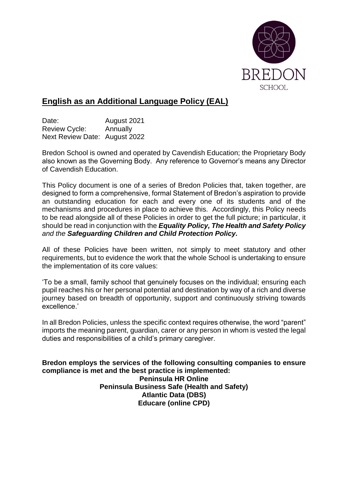

# **English as an Additional Language Policy (EAL)**

Date: **August 2021** Review Cycle: Annually Next Review Date: August 2022

Bredon School is owned and operated by Cavendish Education; the Proprietary Body also known as the Governing Body. Any reference to Governor's means any Director of Cavendish Education.

This Policy document is one of a series of Bredon Policies that, taken together, are designed to form a comprehensive, formal Statement of Bredon's aspiration to provide an outstanding education for each and every one of its students and of the mechanisms and procedures in place to achieve this. Accordingly, this Policy needs to be read alongside all of these Policies in order to get the full picture; in particular, it should be read in conjunction with the *Equality Policy, The Health and Safety Policy and the Safeguarding Children and Child Protection Policy.*

All of these Policies have been written, not simply to meet statutory and other requirements, but to evidence the work that the whole School is undertaking to ensure the implementation of its core values:

'To be a small, family school that genuinely focuses on the individual; ensuring each pupil reaches his or her personal potential and destination by way of a rich and diverse journey based on breadth of opportunity, support and continuously striving towards excellence.'

In all Bredon Policies, unless the specific context requires otherwise, the word "parent" imports the meaning parent, guardian, carer or any person in whom is vested the legal duties and responsibilities of a child's primary caregiver.

**Bredon employs the services of the following consulting companies to ensure compliance is met and the best practice is implemented: Peninsula HR Online Peninsula Business Safe (Health and Safety) Atlantic Data (DBS) Educare (online CPD)**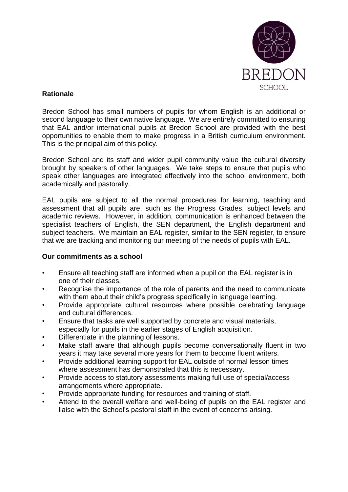

### **Rationale**

Bredon School has small numbers of pupils for whom English is an additional or second language to their own native language. We are entirely committed to ensuring that EAL and/or international pupils at Bredon School are provided with the best opportunities to enable them to make progress in a British curriculum environment. This is the principal aim of this policy.

Bredon School and its staff and wider pupil community value the cultural diversity brought by speakers of other languages. We take steps to ensure that pupils who speak other languages are integrated effectively into the school environment, both academically and pastorally.

EAL pupils are subject to all the normal procedures for learning, teaching and assessment that all pupils are, such as the Progress Grades, subject levels and academic reviews. However, in addition, communication is enhanced between the specialist teachers of English, the SEN department, the English department and subject teachers. We maintain an EAL register, similar to the SEN register, to ensure that we are tracking and monitoring our meeting of the needs of pupils with EAL.

#### **Our commitments as a school**

- Ensure all teaching staff are informed when a pupil on the EAL register is in one of their classes.
- Recognise the importance of the role of parents and the need to communicate with them about their child's progress specifically in language learning.
- Provide appropriate cultural resources where possible celebrating language and cultural differences.
- Ensure that tasks are well supported by concrete and visual materials,
- especially for pupils in the earlier stages of English acquisition.
- Differentiate in the planning of lessons.
- Make staff aware that although pupils become conversationally fluent in two years it may take several more years for them to become fluent writers.
- Provide additional learning support for EAL outside of normal lesson times where assessment has demonstrated that this is necessary.
- Provide access to statutory assessments making full use of special/access arrangements where appropriate.
- Provide appropriate funding for resources and training of staff.
- Attend to the overall welfare and well-being of pupils on the EAL register and liaise with the School's pastoral staff in the event of concerns arising.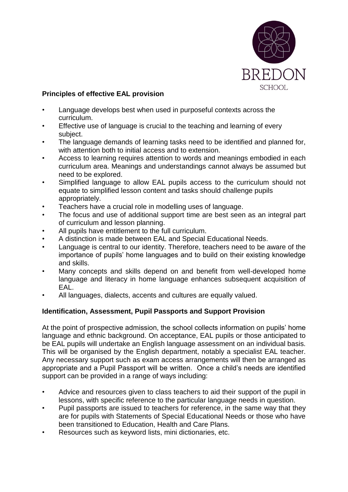

## **Principles of effective EAL provision**

- Language develops best when used in purposeful contexts across the curriculum.
- Effective use of language is crucial to the teaching and learning of every subject.
- The language demands of learning tasks need to be identified and planned for, with attention both to initial access and to extension.
- Access to learning requires attention to words and meanings embodied in each curriculum area. Meanings and understandings cannot always be assumed but need to be explored.
- Simplified language to allow EAL pupils access to the curriculum should not equate to simplified lesson content and tasks should challenge pupils appropriately.
- Teachers have a crucial role in modelling uses of language.
- The focus and use of additional support time are best seen as an integral part of curriculum and lesson planning.
- All pupils have entitlement to the full curriculum.
- A distinction is made between EAL and Special Educational Needs.
- Language is central to our identity. Therefore, teachers need to be aware of the importance of pupils' home languages and to build on their existing knowledge and skills.
- Many concepts and skills depend on and benefit from well-developed home language and literacy in home language enhances subsequent acquisition of EAL.
- All languages, dialects, accents and cultures are equally valued.

# **Identification, Assessment, Pupil Passports and Support Provision**

At the point of prospective admission, the school collects information on pupils' home language and ethnic background. On acceptance, EAL pupils or those anticipated to be EAL pupils will undertake an English language assessment on an individual basis. This will be organised by the English department, notably a specialist EAL teacher. Any necessary support such as exam access arrangements will then be arranged as appropriate and a Pupil Passport will be written. Once a child's needs are identified support can be provided in a range of ways including:

- Advice and resources given to class teachers to aid their support of the pupil in lessons, with specific reference to the particular language needs in question.
- Pupil passports are issued to teachers for reference, in the same way that they are for pupils with Statements of Special Educational Needs or those who have been transitioned to Education, Health and Care Plans.
- Resources such as keyword lists, mini dictionaries, etc.